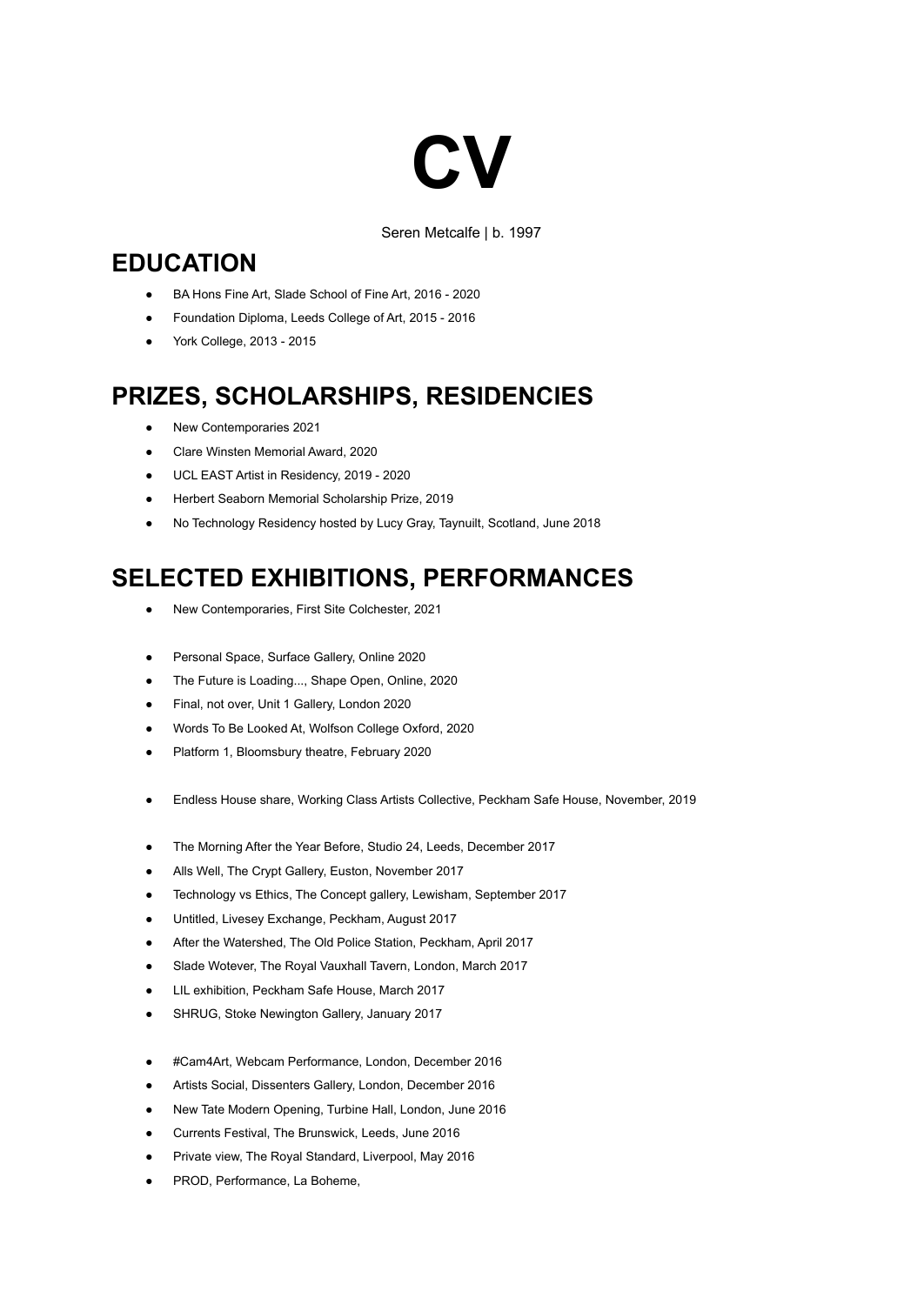

Seren Metcalfe | b. 1997

## **EDUCATION**

- BA Hons Fine Art, Slade School of Fine Art, 2016 2020
- Foundation Diploma, Leeds College of Art, 2015 2016
- York College, 2013 2015

## **PRIZES, SCHOLARSHIPS, RESIDENCIES**

- New Contemporaries 2021
- Clare Winsten Memorial Award, 2020
- UCL EAST Artist in Residency, 2019 2020
- Herbert Seaborn Memorial Scholarship Prize, 2019
- No Technology Residency hosted by Lucy Gray, Taynuilt, Scotland, June 2018

## **SELECTED EXHIBITIONS, PERFORMANCES**

- New Contemporaries, First Site Colchester, 2021
- Personal Space, Surface Gallery, Online 2020
- The Future is Loading..., Shape Open, Online, 2020
- Final, not over, Unit 1 Gallery, London 2020
- Words To Be Looked At, Wolfson College Oxford, 2020
- Platform 1, Bloomsbury theatre, February 2020
- Endless House share, Working Class Artists Collective, Peckham Safe House, November, 2019
- The Morning After the Year Before, Studio 24, Leeds, December 2017
- Alls Well, The Crypt Gallery, Euston, November 2017
- Technology vs Ethics, The Concept gallery, Lewisham, September 2017
- Untitled, Livesey Exchange, Peckham, August 2017
- After the Watershed, The Old Police Station, Peckham, April 2017
- Slade Wotever, The Royal Vauxhall Tavern, London, March 2017
- LIL exhibition, Peckham Safe House, March 2017
- SHRUG, Stoke Newington Gallery, January 2017
- #Cam4Art, Webcam Performance, London, December 2016
- Artists Social, Dissenters Gallery, London, December 2016
- New Tate Modern Opening, Turbine Hall, London, June 2016
- Currents Festival, The Brunswick, Leeds, June 2016
- Private view, The Royal Standard, Liverpool, May 2016
- PROD, Performance, La Boheme,